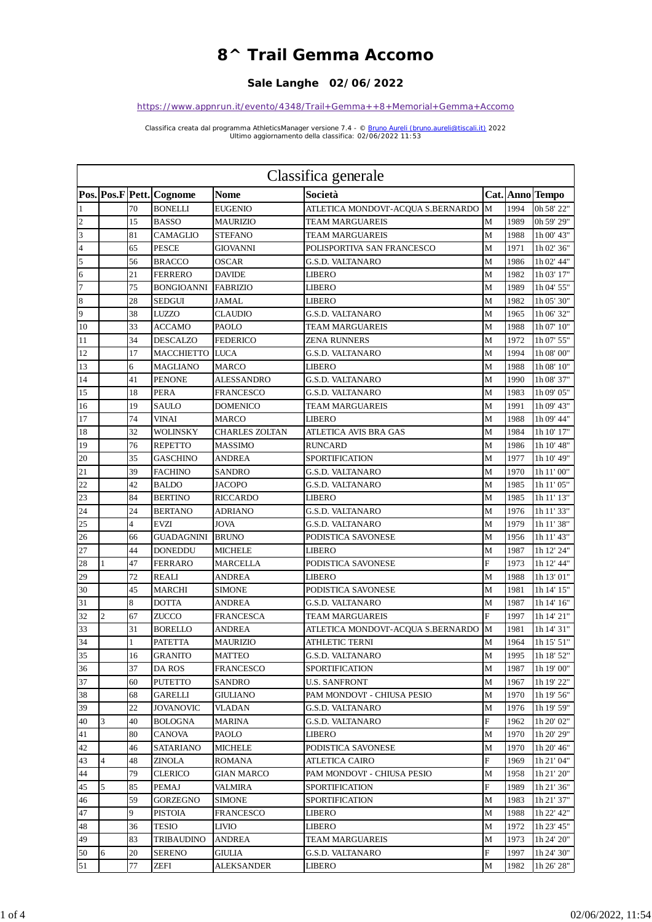## **8^ Trail Gemma Accomo**

## **Sale Langhe 02/06/2022**

## *https://www.appnrun.it/evento/4348/Trail+Gemma++8+Memorial+Gemma+Accomo*

*Classifica creata dal programma AthleticsManager versione 7.4 - © Bruno Aureli (bruno.aureli@tiscali.it) 2022 Ultimo aggiornamento della classifica: 02/06/2022 11:53*

|                | Classifica generale |                |                            |                       |                                    |                |      |                 |  |
|----------------|---------------------|----------------|----------------------------|-----------------------|------------------------------------|----------------|------|-----------------|--|
|                |                     |                | Pos. Pos. F Pett. Cognome  | <b>Nome</b>           | Società                            |                |      | Cat. Anno Tempo |  |
| 1              |                     | 70             | <b>BONELLI</b>             | <b>EUGENIO</b>        | ATLETICA MONDOVI'-ACQUA S.BERNARDO | M              | 1994 | 0h 58' 22"      |  |
| $\overline{c}$ |                     | 15             | <b>BASSO</b>               | <b>MAURIZIO</b>       | <b>TEAM MARGUAREIS</b>             | M              | 1989 | 0h 59' 29"      |  |
| 3              |                     | 81             | <b>CAMAGLIO</b>            | <b>STEFANO</b>        | <b>TEAM MARGUAREIS</b>             | M              | 1988 | 1h 00' 43"      |  |
| $\overline{4}$ |                     | 65             | <b>PESCE</b>               | GIOVANNI              | POLISPORTIVA SAN FRANCESCO         | M              | 1971 | 1h 02' 36"      |  |
| 5              |                     | 56             | <b>BRACCO</b>              | <b>OSCAR</b>          | <b>G.S.D. VALTANARO</b>            | М              | 1986 | 1h 02' 44"      |  |
| 6              |                     | 21             | <b>FERRERO</b>             | <b>DAVIDE</b>         | <b>LIBERO</b>                      | M              | 1982 | 1h 03' 17"      |  |
| 7              |                     | 75             | <b>BONGIOANNI FABRIZIO</b> |                       | <b>LIBERO</b>                      | M              | 1989 | 1h 04' 55"      |  |
| 8              |                     | 28             | <b>SEDGUI</b>              | <b>JAMAL</b>          | <b>LIBERO</b>                      | М              | 1982 | 1h 05' 30"      |  |
| 9              |                     | 38             | <b>LUZZO</b>               | <b>CLAUDIO</b>        | <b>G.S.D. VALTANARO</b>            | M              | 1965 | 1h 06' 32"      |  |
| 10             |                     | 33             | <b>ACCAMO</b>              | <b>PAOLO</b>          | <b>TEAM MARGUAREIS</b>             | M              | 1988 | 1h 07' 10"      |  |
| 11             |                     | 34             | <b>DESCALZO</b>            | <b>FEDERICO</b>       | <b>ZENA RUNNERS</b>                | М              | 1972 | 1h 07' 55"      |  |
| 12             |                     | 17             | MACCHIETTO LUCA            |                       | <b>G.S.D. VALTANARO</b>            | M              | 1994 | 1h 08' 00"      |  |
| 13             |                     | 6              | <b>MAGLIANO</b>            | <b>MARCO</b>          | <b>LIBERO</b>                      | M              | 1988 | 1h 08' 10"      |  |
| 14             |                     | 41             | <b>PENONE</b>              | <b>ALESSANDRO</b>     | <b>G.S.D. VALTANARO</b>            | М              | 1990 | 1h 08' 37"      |  |
| 15             |                     | 18             | <b>PERA</b>                | <b>FRANCESCO</b>      | <b>G.S.D. VALTANARO</b>            | М              | 1983 | 1h 09' 05"      |  |
| 16             |                     | 19             | <b>SAULO</b>               | <b>DOMENICO</b>       | <b>TEAM MARGUAREIS</b>             | M              | 1991 | 1h 09' 43"      |  |
| 17             |                     | 74             | <b>VINAI</b>               | <b>MARCO</b>          | <b>LIBERO</b>                      | M              | 1988 | 1h 09' 44"      |  |
| 18             |                     | 32             | <b>WOLINSKY</b>            | <b>CHARLES ZOLTAN</b> | ATLETICA AVIS BRA GAS              | M              | 1984 | 1h 10' 17"      |  |
| 19             |                     | 76             | <b>REPETTO</b>             | <b>MASSIMO</b>        | <b>RUNCARD</b>                     | M              | 1986 | 1h 10' 48"      |  |
| 20             |                     | 35             | <b>GASCHINO</b>            | ANDREA                | SPORTIFICATION                     | М              | 1977 | 1h 10' 49"      |  |
| 21             |                     | 39             | <b>FACHINO</b>             | SANDRO                | <b>G.S.D. VALTANARO</b>            | M              | 1970 | 1h 11' 00"      |  |
| 22             |                     | 42             | <b>BALDO</b>               | <b>JACOPO</b>         | <b>G.S.D. VALTANARO</b>            | M              | 1985 | 1h 11' 05"      |  |
| 23             |                     | 84             | <b>BERTINO</b>             | <b>RICCARDO</b>       | LIBERO                             | М              | 1985 | 1h 11' 13"      |  |
| 24             |                     | 24             | <b>BERTANO</b>             | <b>ADRIANO</b>        | <b>G.S.D. VALTANARO</b>            | M              | 1976 | 1h 11' 33"      |  |
| 25             |                     | $\overline{4}$ | <b>EVZI</b>                | <b>JOVA</b>           | <b>G.S.D. VALTANARO</b>            | М              | 1979 | 1h 11' 38"      |  |
| 26             |                     | 66             | <b>GUADAGNINI BRUNO</b>    |                       | PODISTICA SAVONESE                 | M              | 1956 | 1h 11' 43"      |  |
| 27             |                     | 44             | <b>DONEDDU</b>             | <b>MICHELE</b>        | <b>LIBERO</b>                      | М              | 1987 | 1h 12' 24"      |  |
| 28             | $\mathbf{1}$        | 47             | <b>FERRARO</b>             | <b>MARCELLA</b>       | PODISTICA SAVONESE                 | Ë              | 1973 | 1h 12' 44"      |  |
| 29             |                     | 72             | <b>REALI</b>               | ANDREA                | LIBERO                             | M              | 1988 | 1h 13' 01"      |  |
| 30             |                     | 45             | <b>MARCHI</b>              | <b>SIMONE</b>         | PODISTICA SAVONESE                 | M              | 1981 | 1h 14' 15"      |  |
| 31             |                     | 8              | <b>DOTTA</b>               | ANDREA                | <b>G.S.D. VALTANARO</b>            | M              | 1987 | 1h 14' 16"      |  |
| 32             | $\overline{c}$      | 67             | <b>ZUCCO</b>               | <b>FRANCESCA</b>      | <b>TEAM MARGUAREIS</b>             | $\overline{F}$ | 1997 | 1h 14' 21"      |  |
| 33             |                     | 31             | <b>BORELLO</b>             | <b>ANDREA</b>         | ATLETICA MONDOVI'-ACQUA S.BERNARDO | M              | 1981 | 1h 14' 31"      |  |
| 34             |                     | 1              | <b>PATETTA</b>             | MAURIZIO              | ATHLETIC TERNI                     | М              | 1964 | 1h 15' 51"      |  |
| 35             |                     | 16             | <b>GRANITO</b>             | <b>MATTEO</b>         | <b>G.S.D. VALTANARO</b>            | M              |      | 1995 1h 18' 52" |  |
| 36             |                     | 37             | DA ROS                     | <b>FRANCESCO</b>      | <b>SPORTIFICATION</b>              | M              | 1987 | 1h 19' 00"      |  |
| 37             |                     | 60             | <b>PUTETTO</b>             | SANDRO                | U.S. SANFRONT                      | М              | 1967 | 1h 19' 22"      |  |
| 38             |                     | 68             | GARELLI                    | <b>GIULIANO</b>       | PAM MONDOVI' - CHIUSA PESIO        | М              | 1970 | 1h 19' 56"      |  |
| 39             |                     | 22             | <b>JOVANOVIC</b>           | <b>VLADAN</b>         | G.S.D. VALTANARO                   | М              | 1976 | 1h 19' 59"      |  |
| 40             | 3                   | 40             | <b>BOLOGNA</b>             | <b>MARINA</b>         | G.S.D. VALTANARO                   | F              | 1962 | 1h 20' 02"      |  |
| 41             |                     | 80             | <b>CANOVA</b>              | PAOLO                 | LIBERO                             | М              | 1970 | 1h 20' 29"      |  |
| 42             |                     | 46             | <b>SATARIANO</b>           | <b>MICHELE</b>        | PODISTICA SAVONESE                 | М              | 1970 | 1h 20' 46"      |  |
| 43             | $\overline{4}$      | 48             | ZINOLA                     | <b>ROMANA</b>         | ATLETICA CAIRO                     | F              | 1969 | 1h 21' 04"      |  |
| 44             |                     | 79             | <b>CLERICO</b>             | <b>GIAN MARCO</b>     | PAM MONDOVI' - CHIUSA PESIO        | М              | 1958 | 1h 21' 20"      |  |
| 45             | 5                   | 85             | PEMAJ                      | VALMIRA               | <b>SPORTIFICATION</b>              | F              | 1989 | 1h 21' 36"      |  |
| 46             |                     | 59             | <b>GORZEGNO</b>            | <b>SIMONE</b>         | SPORTIFICATION                     | М              | 1983 | 1h 21' 37"      |  |
| 47             |                     | 9              | <b>PISTOIA</b>             | <b>FRANCESCO</b>      | LIBERO                             | М              | 1988 | 1h 22' 42"      |  |
| 48             |                     | 36             | TESIO                      | LIVIO                 | LIBERO                             | М              | 1972 | 1h 23' 45"      |  |
| 49             |                     | 83             | TRIBAUDINO                 | <b>ANDREA</b>         | TEAM MARGUAREIS                    | М              | 1973 | 1h 24' 20"      |  |
| 50             | 6                   | 20             | <b>SERENO</b>              | GIULIA                | G.S.D. VALTANARO                   | F              | 1997 | 1h 24' 30"      |  |
| 51             |                     | 77             | ZEFI                       | ALEKSANDER            | LIBERO                             | М              | 1982 | 1h 26' 28"      |  |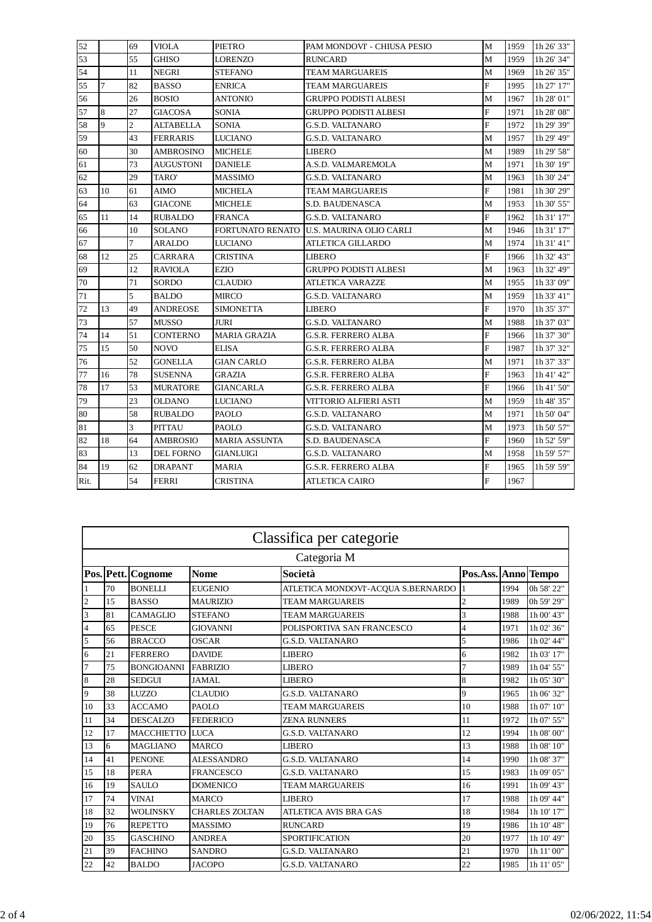| 52   |                | 69             | <b>VIOLA</b>     | <b>PIETRO</b>        | PAM MONDOVI' - CHIUSA PESIO              | M              | 1959 | 1h 26' 33"                        |
|------|----------------|----------------|------------------|----------------------|------------------------------------------|----------------|------|-----------------------------------|
| 53   |                | 55             | <b>GHISO</b>     | LORENZO              | <b>RUNCARD</b>                           | M              | 1959 | 1h 26' 34"                        |
| 54   |                | 11             | <b>NEGRI</b>     | <b>STEFANO</b>       | <b>TEAM MARGUAREIS</b>                   | M              | 1969 | 1h 26' 35"                        |
| 55   | $\overline{7}$ | 82             | <b>BASSO</b>     | <b>ENRICA</b>        | <b>TEAM MARGUAREIS</b>                   | $\overline{F}$ | 1995 | 1h 27' 17"                        |
| 56   |                | 26             | <b>BOSIO</b>     | <b>ANTONIO</b>       | <b>GRUPPO PODISTI ALBESI</b>             | M              | 1967 | $1\mathrm{h}\,28^\circ\,01^\circ$ |
| 57   | 8              | 27             | <b>GIACOSA</b>   | <b>SONIA</b>         | <b>GRUPPO PODISTI ALBESI</b>             | F              | 1971 | 1h 28' 08"                        |
| 58   | 9              | $\overline{c}$ | <b>ALTABELLA</b> | <b>SONIA</b>         | <b>G.S.D. VALTANARO</b>                  | F              | 1972 | 1h 29' 39"                        |
| 59   |                | 43             | <b>FERRARIS</b>  | <b>LUCIANO</b>       | <b>G.S.D. VALTANARO</b>                  | M              | 1957 | 1h 29' 49"                        |
| 60   |                | 30             | <b>AMBROSINO</b> | <b>MICHELE</b>       | <b>LIBERO</b>                            | M              | 1989 | 1h 29' 58"                        |
| 61   |                | 73             | <b>AUGUSTONI</b> | <b>DANIELE</b>       | A.S.D. VALMAREMOLA                       | M              | 1971 | 1h 30' 19"                        |
| 62   |                | 29             | TARO'            | MASSIMO              | <b>G.S.D. VALTANARO</b>                  | M              | 1963 | 1h 30' 24"                        |
| 63   | 10             | 61             | AIMO             | <b>MICHELA</b>       | <b>TEAM MARGUAREIS</b>                   | F              | 1981 | 1h 30' 29"                        |
| 64   |                | 63             | <b>GIACONE</b>   | <b>MICHELE</b>       | S.D. BAUDENASCA                          | M              | 1953 | 1h 30' 55"                        |
| 65   | 11             | 14             | <b>RUBALDO</b>   | <b>FRANCA</b>        | <b>G.S.D. VALTANARO</b>                  | F              | 1962 | 1h 31' 17"                        |
| 66   |                | 10             | <b>SOLANO</b>    |                      | FORTUNATO RENATO U.S. MAURINA OLIO CARLI | M              | 1946 | 1h 31' 17"                        |
| 67   |                | $\overline{7}$ | <b>ARALDO</b>    | <b>LUCIANO</b>       | ATLETICA GILLARDO                        | M              | 1974 | 1h 31' 41"                        |
| 68   | 12             | 25             | CARRARA          | <b>CRISTINA</b>      | LIBERO                                   | $\overline{F}$ | 1966 | 1h 32' 43"                        |
| 69   |                | 12             | RAVIOLA          | <b>EZIO</b>          | <b>GRUPPO PODISTI ALBESI</b>             | M              | 1963 | 1h 32' 49"                        |
| 70   |                | 71             | SORDO            | CLAUDIO              | <b>ATLETICA VARAZZE</b>                  | M              | 1955 | 1h 33' 09"                        |
| 71   |                | 5              | <b>BALDO</b>     | <b>MIRCO</b>         | <b>G.S.D. VALTANARO</b>                  | M              | 1959 | 1h 33' 41"                        |
| 72   | 13             | 49             | ANDREOSE         | <b>SIMONETTA</b>     | LIBERO                                   | $\overline{F}$ | 1970 | 1h 35' 37"                        |
| 73   |                | 57             | <b>MUSSO</b>     | JURI                 | <b>G.S.D. VALTANARO</b>                  | M              | 1988 | 1h 37' 03"                        |
| 74   | 14             | 51             | <b>CONTERNO</b>  | <b>MARIA GRAZIA</b>  | G.S.R. FERRERO ALBA                      | F              | 1966 | 1h 37' 30"                        |
| 75   | 15             | 50             | NOVO             | <b>ELISA</b>         | <b>G.S.R. FERRERO ALBA</b>               | F              | 1987 | 1h 37' 32"                        |
| 76   |                | 52             | <b>GONELLA</b>   | <b>GIAN CARLO</b>    | <b>G.S.R. FERRERO ALBA</b>               | M              | 1971 | 1h 37' 33"                        |
| 77   | 16             | 78             | <b>SUSENNA</b>   | <b>GRAZIA</b>        | <b>G.S.R. FERRERO ALBA</b>               | F              | 1963 | 1h 41' 42"                        |
| 78   | 17             | 53             | <b>MURATORE</b>  | <b>GIANCARLA</b>     | <b>G.S.R. FERRERO ALBA</b>               | $\overline{F}$ | 1966 | 1h 41' 50"                        |
| 79   |                | 23             | <b>OLDANO</b>    | <b>LUCIANO</b>       | VITTORIO ALFIERI ASTI                    | M              | 1959 | 1h 48' 35"                        |
| 80   |                | 58             | <b>RUBALDO</b>   | PAOLO                | G.S.D. VALTANARO                         | M              | 1971 | 1h 50' 04"                        |
| 81   |                | 3              | <b>PITTAU</b>    | <b>PAOLO</b>         | <b>G.S.D. VALTANARO</b>                  | M              | 1973 | 1h 50' 57"                        |
| 82   | 18             | 64             | <b>AMBROSIO</b>  | <b>MARIA ASSUNTA</b> | S.D. BAUDENASCA                          | F              | 1960 | 1h 52' 59"                        |
| 83   |                | 13             | <b>DEL FORNO</b> | <b>GIANLUIGI</b>     | <b>G.S.D. VALTANARO</b>                  | M              | 1958 | 1h 59' 57"                        |
| 84   | 19             | 62             | <b>DRAPANT</b>   | <b>MARIA</b>         | <b>G.S.R. FERRERO ALBA</b>               | $\overline{F}$ | 1965 | 1h 59' 59"                        |
| Rit. |                | 54             | <b>FERRI</b>     | <b>CRISTINA</b>      | ATLETICA CAIRO                           | $\overline{F}$ | 1967 |                                   |

|                         | Classifica per categorie |                    |                       |                                    |                     |      |            |  |  |
|-------------------------|--------------------------|--------------------|-----------------------|------------------------------------|---------------------|------|------------|--|--|
|                         | Categoria M              |                    |                       |                                    |                     |      |            |  |  |
|                         |                          | Pos. Pett. Cognome | <b>Nome</b>           | <b>Società</b>                     | Pos.Ass. Anno Tempo |      |            |  |  |
| 1                       | 70                       | <b>BONELLI</b>     | <b>EUGENIO</b>        | ATLETICA MONDOVI'-ACQUA S.BERNARDO |                     | 1994 | 0h 58' 22" |  |  |
| $\overline{c}$          | 15                       | <b>BASSO</b>       | <b>MAURIZIO</b>       | <b>TEAM MARGUAREIS</b>             | 2                   | 1989 | 0h 59' 29" |  |  |
| 3                       | 81                       | <b>CAMAGLIO</b>    | <b>STEFANO</b>        | <b>TEAM MARGUAREIS</b>             | 3                   | 1988 | 1h 00' 43" |  |  |
| $\overline{\mathbf{4}}$ | 65                       | <b>PESCE</b>       | <b>GIOVANNI</b>       | POLISPORTIVA SAN FRANCESCO         | 4                   | 1971 | 1h 02' 36" |  |  |
| 5                       | 56                       | <b>BRACCO</b>      | <b>OSCAR</b>          | <b>G.S.D. VALTANARO</b>            | 5                   | 1986 | 1h 02' 44" |  |  |
| 6                       | 21                       | <b>FERRERO</b>     | <b>DAVIDE</b>         | <b>LIBERO</b>                      | 6                   | 1982 | 1h 03' 17" |  |  |
| 7                       | 75                       | <b>BONGIOANNI</b>  | <b>FABRIZIO</b>       | <b>LIBERO</b>                      | 7                   | 1989 | 1h 04' 55" |  |  |
| 8                       | 28                       | <b>SEDGUI</b>      | JAMAL                 | <b>LIBERO</b>                      | 8                   | 1982 | 1h 05' 30" |  |  |
| 9                       | 38                       | <b>LUZZO</b>       | <b>CLAUDIO</b>        | <b>G.S.D. VALTANARO</b>            | $\overline{Q}$      | 1965 | 1h 06' 32" |  |  |
| 10                      | 33                       | <b>ACCAMO</b>      | PAOLO                 | <b>TEAM MARGUAREIS</b>             | 10                  | 1988 | 1h 07' 10" |  |  |
| 11                      | 34                       | <b>DESCALZO</b>    | <b>FEDERICO</b>       | <b>ZENA RUNNERS</b>                | 11                  | 1972 | 1h 07' 55" |  |  |
| 12                      | 17                       | <b>MACCHIETTO</b>  | <b>LUCA</b>           | <b>G.S.D. VALTANARO</b>            | 12                  | 1994 | 1h 08' 00" |  |  |
| 13                      | 6                        | <b>MAGLIANO</b>    | <b>MARCO</b>          | <b>LIBERO</b>                      | 13                  | 1988 | 1h 08' 10" |  |  |
| 14                      | 41                       | <b>PENONE</b>      | <b>ALESSANDRO</b>     | <b>G.S.D. VALTANARO</b>            | 14                  | 1990 | 1h 08' 37" |  |  |
| 15                      | 18                       | <b>PERA</b>        | <b>FRANCESCO</b>      | <b>G.S.D. VALTANARO</b>            | 15                  | 1983 | 1h 09' 05" |  |  |
| 16                      | 19                       | <b>SAULO</b>       | <b>DOMENICO</b>       | <b>TEAM MARGUAREIS</b>             | 16                  | 1991 | 1h 09' 43" |  |  |
| 17                      | 74                       | <b>VINAI</b>       | <b>MARCO</b>          | <b>LIBERO</b>                      | 17                  | 1988 | 1h 09' 44" |  |  |
| 18                      | 32                       | <b>WOLINSKY</b>    | <b>CHARLES ZOLTAN</b> | ATLETICA AVIS BRA GAS              | 18                  | 1984 | 1h 10' 17" |  |  |
| 19                      | 76                       | <b>REPETTO</b>     | <b>MASSIMO</b>        | <b>RUNCARD</b>                     | 19                  | 1986 | 1h 10' 48" |  |  |
| 20                      | 35                       | <b>GASCHINO</b>    | <b>ANDREA</b>         | SPORTIFICATION                     | 20                  | 1977 | 1h 10' 49" |  |  |
| 21                      | 39                       | <b>FACHINO</b>     | <b>SANDRO</b>         | <b>G.S.D. VALTANARO</b>            | 21                  | 1970 | 1h 11' 00" |  |  |
| 22                      | 42                       | <b>BALDO</b>       | <b>JACOPO</b>         | <b>G.S.D. VALTANARO</b>            | 22                  | 1985 | 1h 11' 05" |  |  |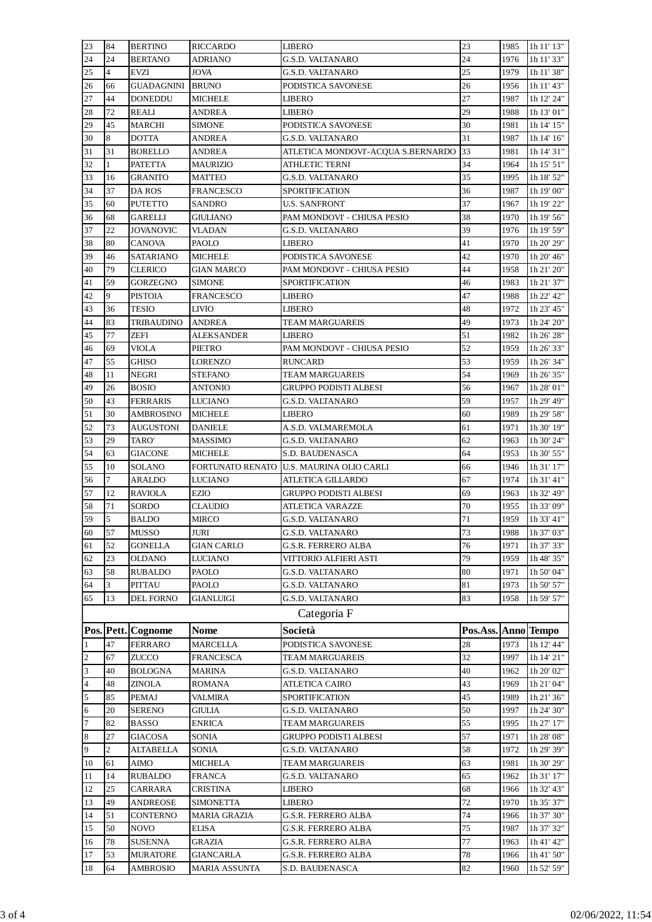| 23             | 84             | <b>BERTINO</b>     | <b>RICCARDO</b>      | LIBERO                             | 23                  | 1985 | 1h 11' 13" |
|----------------|----------------|--------------------|----------------------|------------------------------------|---------------------|------|------------|
| 24             | 24             | <b>BERTANO</b>     | ADRIANO              | G.S.D. VALTANARO                   | 24                  | 1976 | 1h 11' 33" |
| 25             | $\overline{4}$ | EVZI               | JOVA                 | G.S.D. VALTANARO                   | 25                  | 1979 | 1h 11' 38" |
| 26             | 66             | GUADAGNINI         | <b>BRUNO</b>         | PODISTICA SAVONESE                 | 26                  | 1956 | 1h 11' 43" |
| 27             | 44             | <b>DONEDDU</b>     | <b>MICHELE</b>       | LIBERO                             | 27                  | 1987 | 1h 12' 24" |
| 28             | 72             | REALI              | <b>ANDREA</b>        | LIBERO                             | 29                  | 1988 | 1h 13' 01" |
| 29             | 45             | MARCHI             | <b>SIMONE</b>        | PODISTICA SAVONESE                 | 30                  | 1981 | 1h 14' 15" |
| 30             | 8              | <b>DOTTA</b>       | ANDREA               | G.S.D. VALTANARO                   | 31                  | 1987 | 1h 14' 16" |
| 31             | 31             | <b>BORELLO</b>     | ANDREA               | ATLETICA MONDOVI'-ACQUA S.BERNARDO | 33                  | 1981 | 1h 14' 31" |
|                | $\mathbf{1}$   |                    |                      | ATHLETIC TERNI                     | 34                  | 1964 | 1h 15' 51" |
| 32             |                | PATETTA            | <b>MAURIZIO</b>      |                                    |                     |      |            |
| 33             | 16             | GRANITO            | MATTEO               | G.S.D. VALTANARO                   | 35                  | 1995 | 1h 18' 52" |
| 34             | 37             | DA ROS             | <b>FRANCESCO</b>     | SPORTIFICATION                     | 36                  | 1987 | 1h 19' 00" |
| 35             | 60             | <b>PUTETTO</b>     | SANDRO               | U.S. SANFRONT                      | 37                  | 1967 | 1h 19' 22" |
| 36             | 68             | GARELLI            | <b>GIULIANO</b>      | PAM MONDOVI' - CHIUSA PESIO        | 38                  | 1970 | 1h 19' 56" |
| 37             | 22             | <b>JOVANOVIC</b>   | VLADAN               | G.S.D. VALTANARO                   | 39                  | 1976 | 1h 19' 59" |
| 38             | 80             | <b>CANOVA</b>      | PAOLO                | LIBERO                             | 41                  | 1970 | 1h 20' 29" |
| 39             | 46             | <b>SATARIANO</b>   | <b>MICHELE</b>       | PODISTICA SAVONESE                 | 42                  | 1970 | 1h 20' 46" |
| 40             | 79             | <b>CLERICO</b>     | <b>GIAN MARCO</b>    | PAM MONDOVI' - CHIUSA PESIO        | 44                  | 1958 | 1h 21' 20" |
| 41             | 59             | <b>GORZEGNO</b>    | <b>SIMONE</b>        | SPORTIFICATION                     | 46                  | 1983 | 1h 21' 37" |
| 42             | 9              | <b>PISTOIA</b>     | <b>FRANCESCO</b>     | LIBERO                             | 47                  | 1988 | 1h 22' 42" |
| 43             | 36             | TESIO              | LIVIO                | LIBERO                             | 48                  | 1972 | 1h 23' 45" |
| 44             | 83             | TRIBAUDINO         | <b>ANDREA</b>        | TEAM MARGUAREIS                    | 49                  | 1973 | 1h 24' 20" |
| 45             | 77             | ZEFI               | <b>ALEKSANDER</b>    | LIBERO                             | 51                  | 1982 | 1h 26' 28" |
| 46             | 69             | VIOLA              | PIETRO               | PAM MONDOVI' - CHIUSA PESIO        | 52                  | 1959 | 1h 26' 33" |
| 47             | 55             | GHISO              | <b>LORENZO</b>       | RUNCARD                            | 53                  | 1959 | 1h 26' 34" |
| 48             | 11             | <b>NEGRI</b>       | STEFANO              | TEAM MARGUAREIS                    | 54                  | 1969 | 1h 26' 35" |
| 49             | 26             | <b>BOSIO</b>       | ANTONIO              | GRUPPO PODISTI ALBESI              | 56                  | 1967 | 1h 28' 01" |
| 50             | 43             | <b>FERRARIS</b>    | LUCIANO              | G.S.D. VALTANARO                   | 59                  | 1957 | 1h 29' 49" |
| 51             | 30             | <b>AMBROSINO</b>   | <b>MICHELE</b>       | LIBERO                             | 60                  | 1989 | 1h 29' 58" |
| 52             | 73             | <b>AUGUSTONI</b>   | <b>DANIELE</b>       | A.S.D. VALMAREMOLA                 | 61                  | 1971 | 1h 30' 19" |
|                | 29             |                    |                      |                                    | 62                  | 1963 |            |
| 53             |                | TARO'              | MASSIMO              | G.S.D. VALTANARO                   |                     |      | 1h 30' 24" |
| 54             | 63             | <b>GIACONE</b>     | MICHELE              | S.D. BAUDENASCA                    | 64                  | 1953 | 1h 30' 55" |
| 55             | 10             | <b>SOLANO</b>      | FORTUNATO RENATO     | U.S. MAURINA OLIO CARLI            | 66                  | 1946 | 1h 31' 17" |
| 56             | 7              | ARALDO             | <b>LUCIANO</b>       | ATLETICA GILLARDO                  | 67                  | 1974 | 1h 31' 41" |
| 57             | 12             | <b>RAVIOLA</b>     | EZIO                 | GRUPPO PODISTI ALBESI              | 69                  | 1963 | 1h 32' 49" |
| 58             | 71             | SORDO              | <b>CLAUDIO</b>       | ATLETICA VARAZZE                   | 70                  | 1955 | 1h 33' 09" |
| 59             | 5              | <b>BALDO</b>       | MIRCO                | G.S.D. VALTANARO                   | 71                  | 1959 | 1h 33' 41" |
| 60             | 57             | <b>MUSSO</b>       | JURI                 | <b>G.S.D. VALTANARO</b>            | 73                  | 1988 | 1h 37' 03" |
| 61             | 52             | GONELLA            | <b>GIAN CARLO</b>    | G.S.R. FERRERO ALBA                | 76                  | 1971 | 1h 37' 33" |
| 62             | 23             | OLDANO             | <b>LUCIANO</b>       | VITTORIO ALFIERI ASTI              | 79                  | 1959 | 1h 48' 35" |
| 63             | 58             | <b>RUBALDO</b>     | PAOLO                | G.S.D. VALTANARO                   | 80                  | 1971 | 1h 50' 04" |
| 64             | 3              | <b>PITTAU</b>      | PAOLO                | G.S.D. VALTANARO                   | 81                  | 1973 | 1h 50' 57" |
| 65             | 13             | DEL FORNO          | <b>GIANLUIGI</b>     | G.S.D. VALTANARO                   | 83                  | 1958 | 1h 59' 57" |
|                |                |                    |                      | Categoria F                        |                     |      |            |
|                |                | Pos. Pett. Cognome | <b>Nome</b>          | Società                            | Pos.Ass. Anno Tempo |      |            |
| 1              | 47             | <b>FERRARO</b>     | MARCELLA             | PODISTICA SAVONESE                 | 28                  | 1973 | 1h 12' 44" |
| 2              |                | <b>ZUCCO</b>       |                      |                                    | 32                  | 1997 |            |
|                | 67             |                    | FRANCESCA            | TEAM MARGUAREIS                    |                     |      | 1h 14' 21" |
| 3              | 40             | <b>BOLOGNA</b>     | MARINA               | G.S.D. VALTANARO                   | 40                  | 1962 | 1h 20' 02" |
| $\overline{4}$ | 48             | <b>ZINOLA</b>      | <b>ROMANA</b>        | <b>ATLETICA CAIRO</b>              | 43                  | 1969 | 1h 21' 04" |
| $\overline{5}$ | 85             | <b>PEMAJ</b>       | VALMIRA              | SPORTIFICATION                     | 45                  | 1989 | 1h 21' 36" |
| 6              | 20             | <b>SERENO</b>      | GIULIA               | G.S.D. VALTANARO                   | 50                  | 1997 | 1h 24' 30" |
| $\overline{7}$ | 82             | <b>BASSO</b>       | ENRICA               | TEAM MARGUAREIS                    | 55                  | 1995 | 1h 27' 17" |
| $\bf 8$        | 27             | GIACOSA            | SONIA                | GRUPPO PODISTI ALBESI              | 57                  | 1971 | 1h 28' 08" |
| 9              | $\overline{c}$ | <b>ALTABELLA</b>   | SONIA                | G.S.D. VALTANARO                   | 58                  | 1972 | 1h 29' 39" |
| 10             | 61             | AIMO               | MICHELA              | TEAM MARGUAREIS                    | 63                  | 1981 | 1h 30' 29" |
| 11             | 14             | <b>RUBALDO</b>     | <b>FRANCA</b>        | G.S.D. VALTANARO                   | 65                  | 1962 | 1h 31' 17" |
| 12             | 25             | CARRARA            | <b>CRISTINA</b>      | LIBERO                             | 68                  | 1966 | 1h 32' 43" |
| 13             | 49             | <b>ANDREOSE</b>    | <b>SIMONETTA</b>     | LIBERO                             | 72                  | 1970 | 1h 35' 37" |
| 14             | 51             | CONTERNO           | <b>MARIA GRAZIA</b>  | G.S.R. FERRERO ALBA                | 74                  | 1966 | 1h 37' 30" |
| 15             | 50             | <b>NOVO</b>        | ELISA                | G.S.R. FERRERO ALBA                | 75                  | 1987 | 1h 37' 32" |
| 16             | 78             | <b>SUSENNA</b>     | GRAZIA               | G.S.R. FERRERO ALBA                | 77                  | 1963 | 1h 41' 42" |
| 17             | 53             | <b>MURATORE</b>    | <b>GIANCARLA</b>     | G.S.R. FERRERO ALBA                | 78                  | 1966 | 1h 41' 50" |
| 18             | 64             | <b>AMBROSIO</b>    | <b>MARIA ASSUNTA</b> | S.D. BAUDENASCA                    | 82                  | 1960 | 1h 52' 59" |